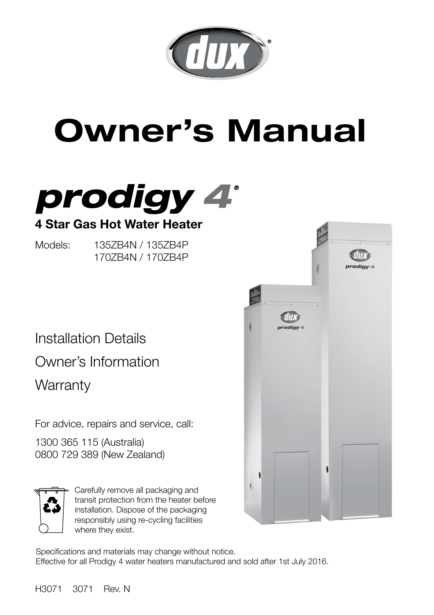

# **Owner's Manual**



#### **4 Star Gas Hot Water Heater**

Models: 135ZB4N / 135ZB4P 170ZB4N / 170ZB4P

Installation Details

Owner's Information

**Warranty** 

For advice, repairs and service, call:

1300 365 115 (Australia) 0800 729 389 (New Zealand)



Carefully remove all packaging and transit protection from the heater before installation. Dispose of the packaging responsibly using re-cycling facilities where they exist.



Specifications and materials may change without notice. Effective for all Prodigy 4 water heaters manufactured and sold after 1st July 2016.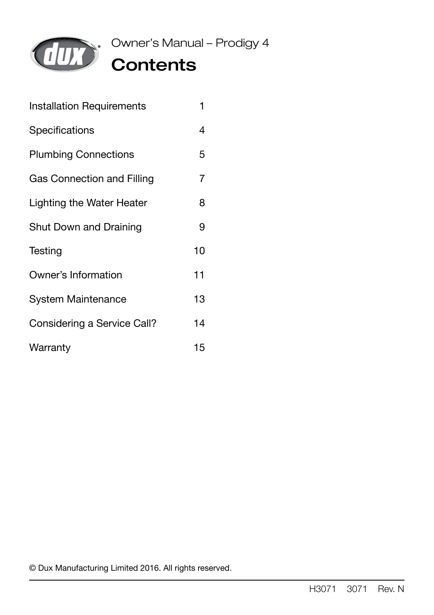

### **Contents**

| <b>Installation Requirements</b> | 1  |
|----------------------------------|----|
| Specifications                   | 4  |
| <b>Plumbing Connections</b>      | 5  |
| Gas Connection and Filling       | 7  |
| Lighting the Water Heater        | 8  |
| Shut Down and Draining           | 9  |
| Testing                          | 10 |
| Owner's Information              | 11 |
| System Maintenance               | 13 |
| Considering a Service Call?      | 14 |
| Warranty                         | 15 |

© Dux Manufacturing Limited 2016. All rights reserved.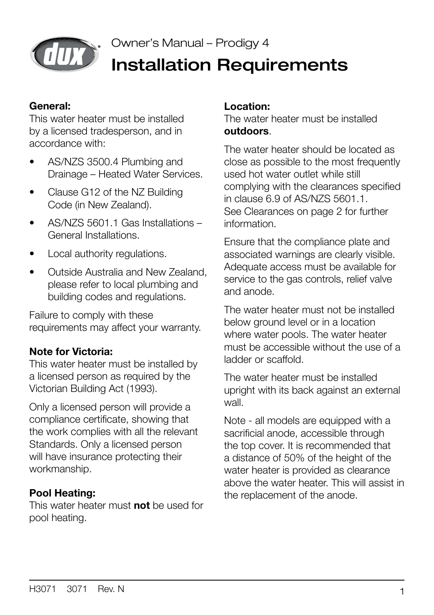

# Installation Requirements

#### **General:**

This water heater must be installed by a licensed tradesperson, and in accordance with:

- AS/NZS 3500.4 Plumbing and Drainage – Heated Water Services.
- Clause G12 of the NZ Building Code (in New Zealand).
- AS/NZS 5601.1 Gas Installations General Installations.
- Local authority regulations.
- Outside Australia and New Zealand, please refer to local plumbing and building codes and regulations.

Failure to comply with these requirements may affect your warranty.

#### **Note for Victoria:**

This water heater must be installed by a licensed person as required by the Victorian Building Act (1993).

Only a licensed person will provide a compliance certificate, showing that the work complies with all the relevant Standards. Only a licensed person will have insurance protecting their workmanship.

#### **Pool Heating:**

This water heater must **not** be used for pool heating.

#### **Location:**

The water heater must be installed **outdoors**.

The water heater should be located as close as possible to the most frequently used hot water outlet while still complying with the clearances specified in clause 6.9 of AS/NZS 5601.1. See Clearances on page 2 for further information.

Ensure that the compliance plate and associated warnings are clearly visible. Adequate access must be available for service to the gas controls, relief valve and anode.

The water heater must not be installed below ground level or in a location where water pools. The water heater must be accessible without the use of a ladder or scaffold.

The water heater must be installed upright with its back against an external wall.

Note - all models are equipped with a sacrificial anode, accessible through the top cover. It is recommended that a distance of 50% of the height of the water heater is provided as clearance above the water heater. This will assist in the replacement of the anode.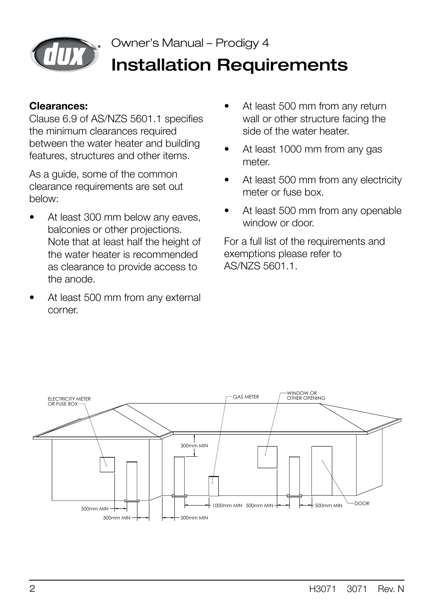

# Installation Requirements

#### **Clearances:**

Clause 6.9 of AS/NZS 5601.1 specifies the minimum clearances required between the water heater and building features, structures and other items.

As a guide, some of the common clearance requirements are set out below:

- At least 300 mm below any eaves, balconies or other projections. Note that at least half the height of the water heater is recommended as clearance to provide access to the anode.
- At least 500 mm from any external corner.
- At least 500 mm from any return wall or other structure facing the side of the water heater.
- At least 1000 mm from any gas meter.
- At least 500 mm from any electricity meter or fuse box.
- At least 500 mm from any openable window or door.

For a full list of the requirements and exemptions please refer to AS/NZS 5601.1.

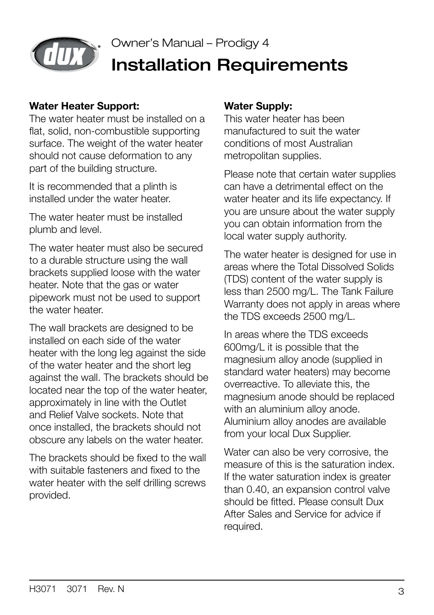

### Owner's Manual – Prodigy 4 Installation Requirements

#### **Water Heater Support:**

The water heater must be installed on a flat, solid, non-combustible supporting surface. The weight of the water heater should not cause deformation to any part of the building structure.

It is recommended that a plinth is installed under the water heater.

The water heater must be installed plumb and level.

The water heater must also be secured to a durable structure using the wall brackets supplied loose with the water heater. Note that the gas or water pipework must not be used to support the water heater.

The wall brackets are designed to be installed on each side of the water heater with the long leg against the side of the water heater and the short leg against the wall. The brackets should be located near the top of the water heater, approximately in line with the Outlet and Relief Valve sockets. Note that once installed, the brackets should not obscure any labels on the water heater.

The brackets should be fixed to the wall with suitable fasteners and fixed to the water heater with the self drilling screws provided.

#### **Water Supply:**

This water heater has been manufactured to suit the water conditions of most Australian metropolitan supplies.

Please note that certain water supplies can have a detrimental effect on the water heater and its life expectancy. If you are unsure about the water supply you can obtain information from the local water supply authority.

The water heater is designed for use in areas where the Total Dissolved Solids (TDS) content of the water supply is less than 2500 mg/L. The Tank Failure Warranty does not apply in areas where the TDS exceeds 2500 mg/L.

In areas where the TDS exceeds 600mg/L it is possible that the magnesium alloy anode (supplied in standard water heaters) may become overreactive. To alleviate this, the magnesium anode should be replaced with an aluminium alloy anode. Aluminium alloy anodes are available from your local Dux Supplier.

Water can also be very corrosive, the measure of this is the saturation index. If the water saturation index is greater than 0.40, an expansion control valve should be fitted. Please consult Dux After Sales and Service for advice if required.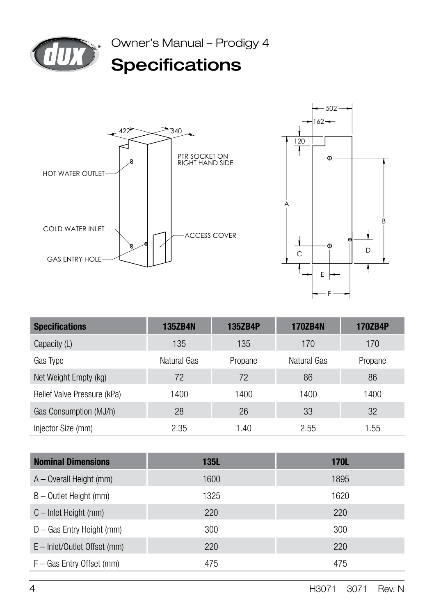





| <b>Specifications</b>       | <b>135ZB4N</b> | <b>135ZB4P</b> | <b>170ZB4N</b> | <b>170ZB4P</b> |
|-----------------------------|----------------|----------------|----------------|----------------|
| Capacity (L)                | 135            | 135            | 170            | 170            |
| Gas Type                    | Natural Gas    | Propane        | Natural Gas    | Propane        |
| Net Weight Empty (kg)       | 72             | 72             | 86             | 86             |
| Relief Valve Pressure (kPa) | 1400           | 1400           | 1400           | 1400           |
| Gas Consumption (MJ/h)      | 28             | 26             | 33             | 32             |
| Injector Size (mm)          | 2.35           | 1.40           | 2.55           | 1.55           |

| <b>Nominal Dimensions</b>      | <b>135L</b> | <b>170L</b> |
|--------------------------------|-------------|-------------|
| A - Overall Height (mm)        | 1600        | 1895        |
| B - Outlet Height (mm)         | 1325        | 1620        |
| $C$ – Inlet Height (mm)        | 220         | 220         |
| D - Gas Entry Height (mm)      | 300         | 300         |
| $E$ – Inlet/Outlet Offset (mm) | 220         | 220         |
| $F - Gas Entry$ Offset (mm)    | 475         | 475         |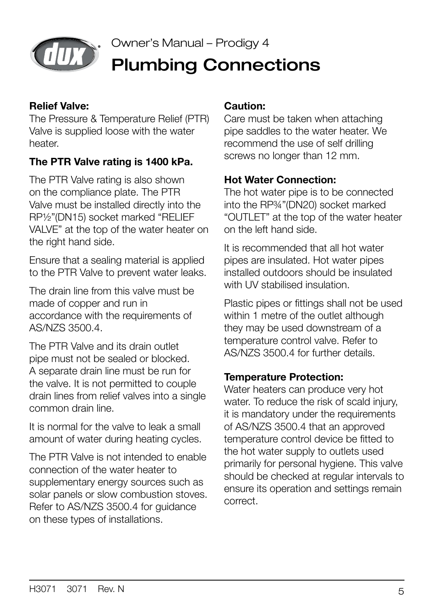

### Owner's Manual – Prodigy 4 Plumbing Connections

#### **Relief Valve:**

The Pressure & Temperature Relief (PTR) Valve is supplied loose with the water heater.

#### **The PTR Valve rating is 1400 kPa.**

The PTR Valve rating is also shown on the compliance plate. The PTR Valve must be installed directly into the RP½"(DN15) socket marked "RELIEF VALVE" at the top of the water heater on the right hand side.

Ensure that a sealing material is applied to the PTR Valve to prevent water leaks.

The drain line from this valve must be made of copper and run in accordance with the requirements of AS/NZS 3500.4.

The PTR Valve and its drain outlet pipe must not be sealed or blocked. A separate drain line must be run for the valve. It is not permitted to couple drain lines from relief valves into a single common drain line.

It is normal for the valve to leak a small amount of water during heating cycles.

The PTR Valve is not intended to enable connection of the water heater to supplementary energy sources such as solar panels or slow combustion stoves. Refer to AS/NZS 3500.4 for guidance on these types of installations.

#### **Caution:**

Care must be taken when attaching pipe saddles to the water heater. We recommend the use of self drilling screws no longer than 12 mm.

#### **Hot Water Connection:**

The hot water pipe is to be connected into the RP¾"(DN20) socket marked "OUTLET" at the top of the water heater on the left hand side.

It is recommended that all hot water pipes are insulated. Hot water pipes installed outdoors should be insulated with UV stabilised insulation.

Plastic pipes or fittings shall not be used within 1 metre of the outlet although they may be used downstream of a temperature control valve. Refer to AS/NZS 3500.4 for further details.

#### **Temperature Protection:**

Water heaters can produce very hot water. To reduce the risk of scald injury, it is mandatory under the requirements of AS/NZS 3500.4 that an approved temperature control device be fitted to the hot water supply to outlets used primarily for personal hygiene. This valve should be checked at regular intervals to ensure its operation and settings remain correct.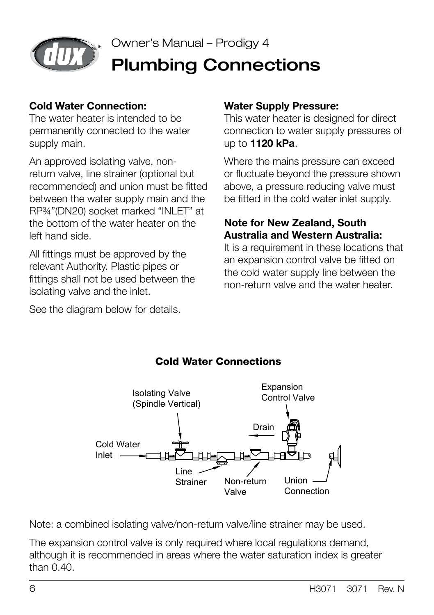

### Owner's Manual – Prodigy 4 Plumbing Connections

#### **Cold Water Connection:**

The water heater is intended to be permanently connected to the water supply main.

An approved isolating valve, nonreturn valve, line strainer (optional but recommended) and union must be fitted between the water supply main and the RP¾"(DN20) socket marked "INLET" at the bottom of the water heater on the left hand side.

All fittings must be approved by the relevant Authority. Plastic pipes or fittings shall not be used between the isolating valve and the inlet.

See the diagram below for details.

#### **Water Supply Pressure:**

This water heater is designed for direct connection to water supply pressures of up to **1120 kPa**.

Where the mains pressure can exceed or fluctuate beyond the pressure shown above, a pressure reducing valve must be fitted in the cold water inlet supply.

#### **Note for New Zealand, South Australia and Western Australia:**

It is a requirement in these locations that an expansion control valve be fitted on the cold water supply line between the non-return valve and the water heater.



#### Cold Water Connections

Note: a combined isolating valve/non-return valve/line strainer may be used.

The expansion control valve is only required where local regulations demand, although it is recommended in areas where the water saturation index is greater than  $0.40$ .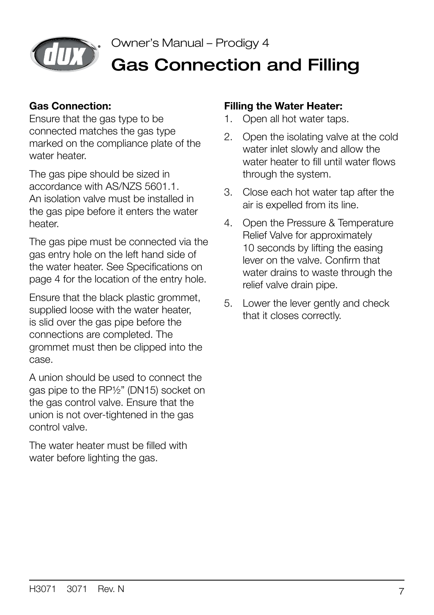

# Gas Connection and Filling

#### **Gas Connection:**

Ensure that the gas type to be connected matches the gas type marked on the compliance plate of the water heater.

The gas pipe should be sized in accordance with AS/NZS 5601.1. An isolation valve must be installed in the gas pipe before it enters the water heater.

The gas pipe must be connected via the gas entry hole on the left hand side of the water heater. See Specifications on page 4 for the location of the entry hole.

Ensure that the black plastic grommet, supplied loose with the water heater, is slid over the gas pipe before the connections are completed. The grommet must then be clipped into the case.

A union should be used to connect the gas pipe to the RP½" (DN15) socket on the gas control valve. Ensure that the union is not over-tightened in the gas control valve.

The water heater must be filled with water before lighting the gas.

#### **Filling the Water Heater:**

- 1. Open all hot water taps.
- 2. Open the isolating valve at the cold water inlet slowly and allow the water heater to fill until water flows through the system.
- 3. Close each hot water tap after the air is expelled from its line.
- 4. Open the Pressure & Temperature Relief Valve for approximately 10 seconds by lifting the easing lever on the valve. Confirm that water drains to waste through the relief valve drain pipe.
- 5. Lower the lever gently and check that it closes correctly.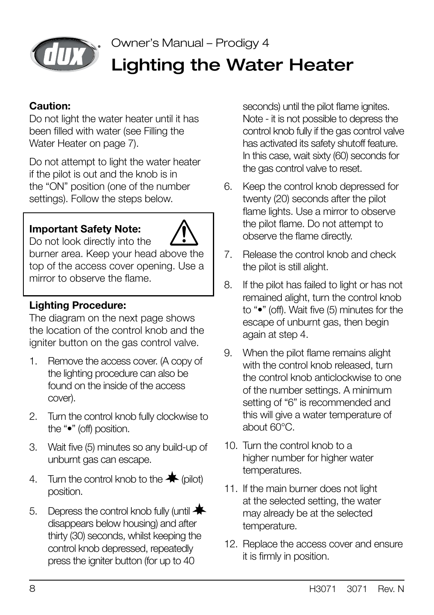

# Lighting the Water Heater

#### **Caution:**

Do not light the water heater until it has been filled with water (see Filling the Water Heater on page 7).

Do not attempt to light the water heater if the pilot is out and the knob is in the "ON" position (one of the number settings). Follow the steps below.

#### **Important Safety Note:**



Do not look directly into the burner area. Keep your head above the top of the access cover opening. Use a mirror to observe the flame.

#### **Lighting Procedure:**

The diagram on the next page shows the location of the control knob and the igniter button on the gas control valve.

- 1. Remove the access cover. (A copy of the lighting procedure can also be found on the inside of the access cover).
- 2. Turn the control knob fully clockwise to the "•" (off) position.
- 3. Wait five (5) minutes so any build-up of unburnt gas can escape.
- 4. Turn the control knob to the  $\clubsuit$  (pilot) position.
- 5. Depress the control knob fully (until  $\clubsuit$ disappears below housing) and after thirty (30) seconds, whilst keeping the control knob depressed, repeatedly press the igniter button (for up to 40

seconds) until the pilot flame ignites. Note - it is not possible to depress the control knob fully if the gas control valve has activated its safety shutoff feature. In this case, wait sixty (60) seconds for the gas control valve to reset.

- 6. Keep the control knob depressed for twenty (20) seconds after the pilot flame lights. Use a mirror to observe the pilot flame. Do not attempt to observe the flame directly.
- 7. Release the control knob and check the pilot is still alight.
- 8. If the pilot has failed to light or has not remained alight, turn the control knob to "•" (off). Wait five (5) minutes for the escape of unburnt gas, then begin again at step 4.
- 9. When the pilot flame remains alight with the control knob released, turn the control knob anticlockwise to one of the number settings. A minimum setting of "6" is recommended and this will give a water temperature of about 60°C.
- 10. Turn the control knob to a higher number for higher water temperatures.
- 11. If the main burner does not light at the selected setting, the water may already be at the selected temperature.
- 12. Replace the access cover and ensure it is firmly in position.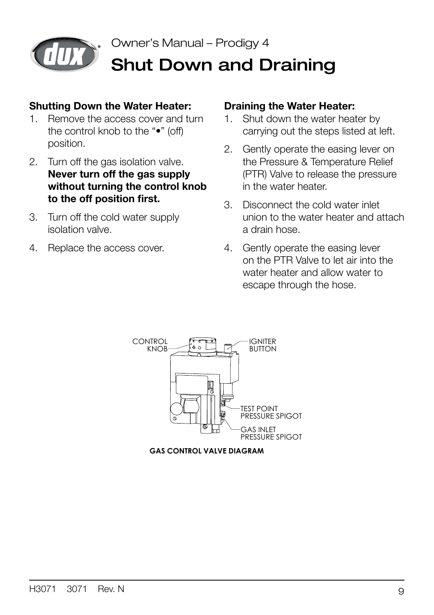

### Shut Down and Draining

#### **Shutting Down the Water Heater:**

- 1. Remove the access cover and turn the control knob to the "•" (off) position.
- 2. Turn off the gas isolation valve. **Never turn off the gas supply without turning the control knob to the off position first.**
- 3. Turn off the cold water supply isolation valve.
- 4. Replace the access cover.

#### **Draining the Water Heater:**

- 1. Shut down the water heater by carrying out the steps listed at left.
- 2. Gently operate the easing lever on the Pressure & Temperature Relief (PTR) Valve to release the pressure in the water heater.
- 3. Disconnect the cold water inlet union to the water heater and attach a drain hose.
- 4. Gently operate the easing lever on the PTR Valve to let air into the water heater and allow water to escape through the hose.



**GAS CONTROL VALVE DIAGRAM**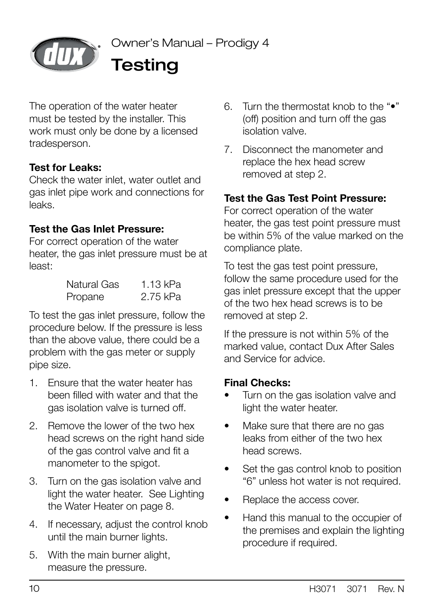

# **Testing**

The operation of the water heater must be tested by the installer. This work must only be done by a licensed tradesperson.

#### **Test for Leaks:**

Check the water inlet, water outlet and gas inlet pipe work and connections for leaks.

#### **Test the Gas Inlet Pressure:**

For correct operation of the water heater, the gas inlet pressure must be at least:

| Natural Gas | 1.13 kPa |
|-------------|----------|
| Propane     | 2.75 kPa |

To test the gas inlet pressure, follow the procedure below. If the pressure is less than the above value, there could be a problem with the gas meter or supply pipe size.

- 1. Ensure that the water heater has been filled with water and that the gas isolation valve is turned off.
- 2. Remove the lower of the two hex head screws on the right hand side of the gas control valve and fit a manometer to the spigot.
- 3. Turn on the gas isolation valve and light the water heater. See Lighting the Water Heater on page 8.
- 4. If necessary, adjust the control knob until the main burner lights.
- 5. With the main burner alight, measure the pressure.
- 6. Turn the thermostat knob to the "•" (off) position and turn off the gas isolation valve.
- 7. Disconnect the manometer and replace the hex head screw removed at step 2.

#### **Test the Gas Test Point Pressure:**

For correct operation of the water heater, the gas test point pressure must be within 5% of the value marked on the compliance plate.

To test the gas test point pressure, follow the same procedure used for the gas inlet pressure except that the upper of the two hex head screws is to be removed at step 2.

If the pressure is not within 5% of the marked value, contact Dux After Sales and Service for advice.

#### **Final Checks:**

- Turn on the gas isolation valve and light the water heater.
- Make sure that there are no gas leaks from either of the two hex head screws.
- Set the gas control knob to position "6" unless hot water is not required.
- Replace the access cover.
- Hand this manual to the occupier of the premises and explain the lighting procedure if required.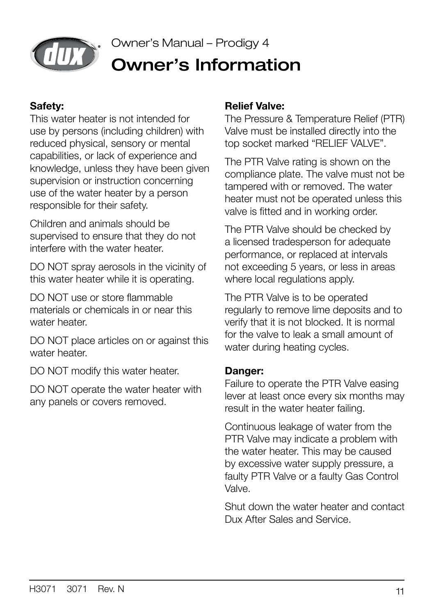

### Owner's Manual – Prodigy 4 Owner's Information

#### **Safety:**

This water heater is not intended for use by persons (including children) with reduced physical, sensory or mental capabilities, or lack of experience and knowledge, unless they have been given supervision or instruction concerning use of the water heater by a person responsible for their safety.

Children and animals should be supervised to ensure that they do not interfere with the water heater.

DO NOT spray aerosols in the vicinity of this water heater while it is operating.

DO NOT use or store flammable materials or chemicals in or near this water heater.

DO NOT place articles on or against this water heater

DO NOT modify this water heater.

DO NOT operate the water heater with any panels or covers removed.

#### **Relief Valve:**

The Pressure & Temperature Relief (PTR) Valve must be installed directly into the top socket marked "RELIEF VALVE".

The PTR Valve rating is shown on the compliance plate. The valve must not be tampered with or removed. The water heater must not be operated unless this valve is fitted and in working order.

The PTR Valve should be checked by a licensed tradesperson for adequate performance, or replaced at intervals not exceeding 5 years, or less in areas where local regulations apply.

The PTR Valve is to be operated regularly to remove lime deposits and to verify that it is not blocked. It is normal for the valve to leak a small amount of water during heating cycles.

#### **Danger:**

Failure to operate the PTR Valve easing lever at least once every six months may result in the water heater failing.

Continuous leakage of water from the PTR Valve may indicate a problem with the water heater. This may be caused by excessive water supply pressure, a faulty PTR Valve or a faulty Gas Control Valve.

Shut down the water heater and contact Dux After Sales and Service.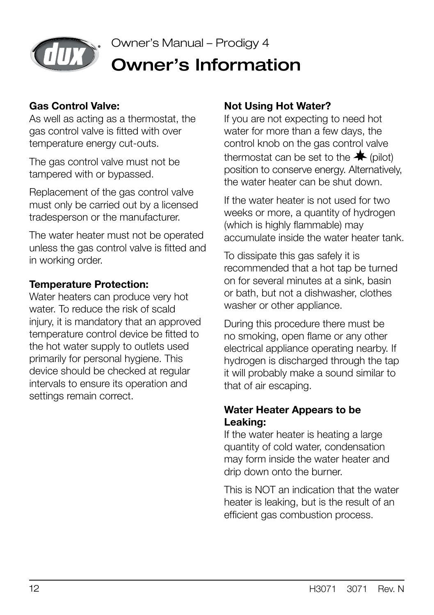

### Owner's Manual – Prodigy 4 Owner's Information

#### **Gas Control Valve:**

As well as acting as a thermostat, the gas control valve is fitted with over temperature energy cut-outs.

The gas control valve must not be tampered with or bypassed.

Replacement of the gas control valve must only be carried out by a licensed tradesperson or the manufacturer.

The water heater must not be operated unless the gas control valve is fitted and in working order.

#### **Temperature Protection:**

Water heaters can produce very hot water. To reduce the risk of scald injury, it is mandatory that an approved temperature control device be fitted to the hot water supply to outlets used primarily for personal hygiene. This device should be checked at regular intervals to ensure its operation and settings remain correct.

#### **Not Using Hot Water?**

If you are not expecting to need hot water for more than a few days, the control knob on the gas control valve thermostat can be set to the  $\clubsuit$  (pilot) position to conserve energy. Alternatively, the water heater can be shut down.

If the water heater is not used for two weeks or more, a quantity of hydrogen (which is highly flammable) may accumulate inside the water heater tank.

To dissipate this gas safely it is recommended that a hot tap be turned on for several minutes at a sink, basin or bath, but not a dishwasher, clothes washer or other appliance.

During this procedure there must be no smoking, open flame or any other electrical appliance operating nearby. If hydrogen is discharged through the tap it will probably make a sound similar to that of air escaping.

#### **Water Heater Appears to be Leaking:**

If the water heater is heating a large quantity of cold water, condensation may form inside the water heater and drip down onto the burner.

This is NOT an indication that the water heater is leaking, but is the result of an efficient gas combustion process.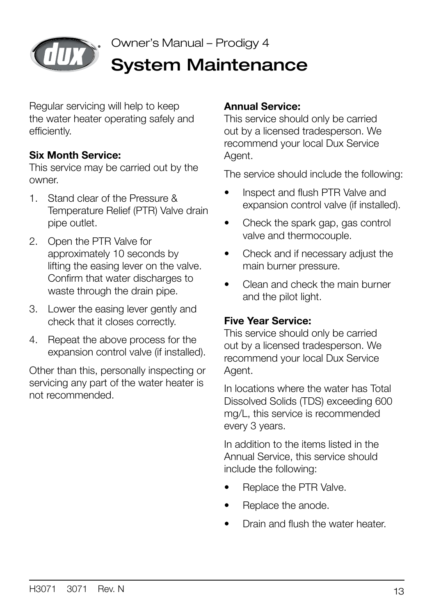

# System Maintenance

Regular servicing will help to keep the water heater operating safely and efficiently.

#### **Six Month Service:**

This service may be carried out by the owner.

- 1. Stand clear of the Pressure & Temperature Relief (PTR) Valve drain pipe outlet.
- 2. Open the PTR Valve for approximately 10 seconds by lifting the easing lever on the valve. Confirm that water discharges to waste through the drain pipe.
- 3. Lower the easing lever gently and check that it closes correctly.
- 4. Repeat the above process for the expansion control valve (if installed).

Other than this, personally inspecting or servicing any part of the water heater is not recommended.

#### **Annual Service:**

This service should only be carried out by a licensed tradesperson. We recommend your local Dux Service Agent.

The service should include the following:

- Inspect and flush PTR Valve and expansion control valve (if installed).
- Check the spark gap, gas control valve and thermocouple.
- Check and if necessary adjust the main burner pressure.
- Clean and check the main burner and the pilot light.

#### **Five Year Service:**

This service should only be carried out by a licensed tradesperson. We recommend your local Dux Service Agent.

In locations where the water has Total Dissolved Solids (TDS) exceeding 600 mg/L, this service is recommended every 3 years.

In addition to the items listed in the Annual Service, this service should include the following:

- Replace the PTR Valve.
- Replace the anode.
- Drain and flush the water heater.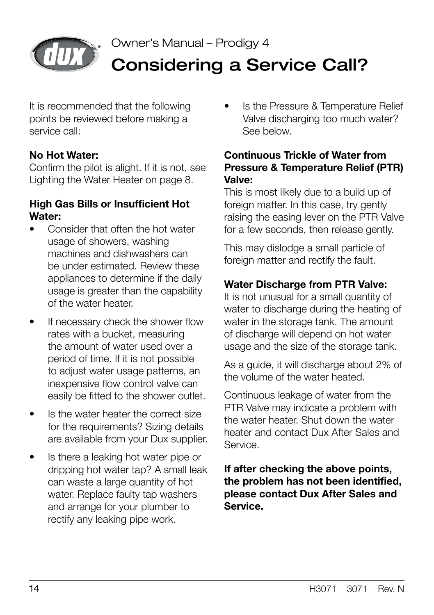

# Considering a Service Call?

It is recommended that the following points be reviewed before making a service call:

#### **No Hot Water:**

Confirm the pilot is alight. If it is not, see Lighting the Water Heater on page 8.

#### **High Gas Bills or Insufficient Hot Water:**

- Consider that often the hot water usage of showers, washing machines and dishwashers can be under estimated. Review these appliances to determine if the daily usage is greater than the capability of the water heater.
- If necessary check the shower flow rates with a bucket, measuring the amount of water used over a period of time. If it is not possible to adjust water usage patterns, an inexpensive flow control valve can easily be fitted to the shower outlet.
- Is the water heater the correct size for the requirements? Sizing details are available from your Dux supplier.
- Is there a leaking hot water pipe or dripping hot water tap? A small leak can waste a large quantity of hot water. Replace faulty tap washers and arrange for your plumber to rectify any leaking pipe work.

Is the Pressure & Temperature Relief Valve discharging too much water? See below.

#### **Continuous Trickle of Water from Pressure & Temperature Relief (PTR) Valve:**

This is most likely due to a build up of foreign matter. In this case, try gently raising the easing lever on the PTR Valve for a few seconds, then release gently.

This may dislodge a small particle of foreign matter and rectify the fault.

#### **Water Discharge from PTR Valve:**

It is not unusual for a small quantity of water to discharge during the heating of water in the storage tank. The amount of discharge will depend on hot water usage and the size of the storage tank.

As a guide, it will discharge about 2% of the volume of the water heated.

Continuous leakage of water from the PTR Valve may indicate a problem with the water heater. Shut down the water heater and contact Dux After Sales and Service.

**If after checking the above points, the problem has not been identified, please contact Dux After Sales and Service.**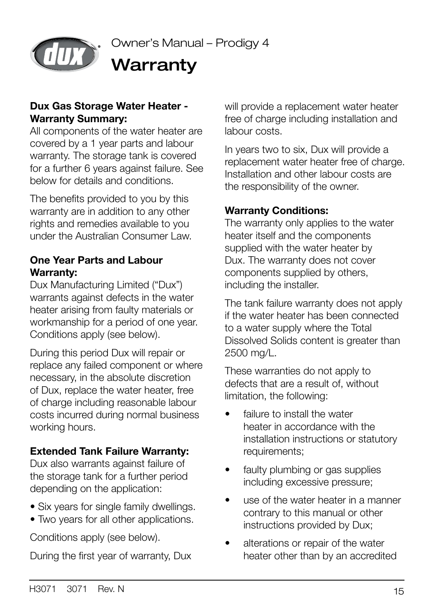

### **Warranty**

#### **Dux Gas Storage Water Heater - Warranty Summary:**

All components of the water heater are covered by a 1 year parts and labour warranty. The storage tank is covered for a further 6 years against failure. See below for details and conditions.

The benefits provided to you by this warranty are in addition to any other rights and remedies available to you under the Australian Consumer Law.

#### **One Year Parts and Labour Warranty:**

Dux Manufacturing Limited ("Dux") warrants against defects in the water heater arising from faulty materials or workmanship for a period of one year. Conditions apply (see below).

During this period Dux will repair or replace any failed component or where necessary, in the absolute discretion of Dux, replace the water heater, free of charge including reasonable labour costs incurred during normal business working hours.

#### **Extended Tank Failure Warranty:**

Dux also warrants against failure of the storage tank for a further period depending on the application:

- Six years for single family dwellings.
- Two years for all other applications.

Conditions apply (see below).

During the first year of warranty, Dux

will provide a replacement water heater free of charge including installation and labour costs.

In years two to six, Dux will provide a replacement water heater free of charge. Installation and other labour costs are the responsibility of the owner.

#### **Warranty Conditions:**

The warranty only applies to the water heater itself and the components supplied with the water heater by Dux. The warranty does not cover components supplied by others, including the installer.

The tank failure warranty does not apply if the water heater has been connected to a water supply where the Total Dissolved Solids content is greater than 2500 mg/L.

These warranties do not apply to defects that are a result of, without limitation, the following:

- failure to install the water heater in accordance with the installation instructions or statutory requirements;
- faulty plumbing or gas supplies including excessive pressure;
- use of the water heater in a manner contrary to this manual or other instructions provided by Dux;
- alterations or repair of the water heater other than by an accredited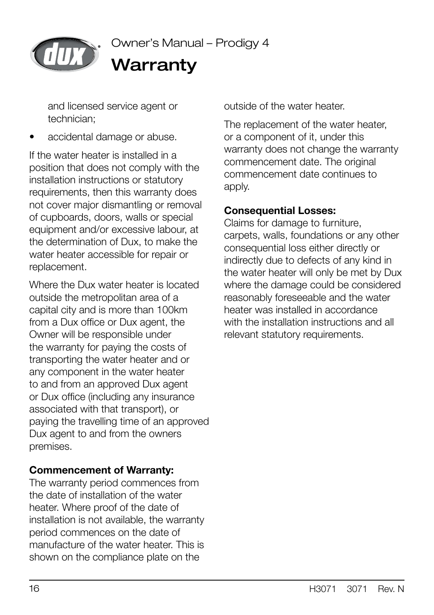

# **Warranty**

and licensed service agent or technician;

• accidental damage or abuse.

If the water heater is installed in a position that does not comply with the installation instructions or statutory requirements, then this warranty does not cover major dismantling or removal of cupboards, doors, walls or special equipment and/or excessive labour, at the determination of Dux, to make the water heater accessible for repair or replacement.

Where the Dux water heater is located outside the metropolitan area of a capital city and is more than 100km from a Dux office or Dux agent, the Owner will be responsible under the warranty for paying the costs of transporting the water heater and or any component in the water heater to and from an approved Dux agent or Dux office (including any insurance associated with that transport), or paying the travelling time of an approved Dux agent to and from the owners premises.

#### **Commencement of Warranty:**

The warranty period commences from the date of installation of the water heater. Where proof of the date of installation is not available, the warranty period commences on the date of manufacture of the water heater. This is shown on the compliance plate on the

outside of the water heater.

The replacement of the water heater, or a component of it, under this warranty does not change the warranty commencement date. The original commencement date continues to apply.

#### **Consequential Losses:**

Claims for damage to furniture, carpets, walls, foundations or any other consequential loss either directly or indirectly due to defects of any kind in the water heater will only be met by Dux where the damage could be considered reasonably foreseeable and the water heater was installed in accordance with the installation instructions and all relevant statutory requirements.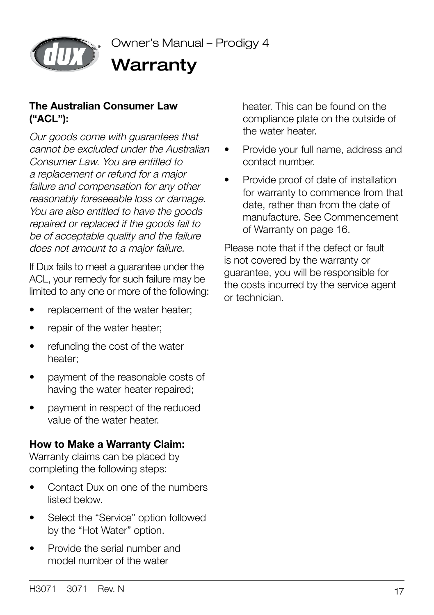

### **Warranty**

#### **The Australian Consumer Law ("ACL"):**

Our goods come with guarantees that cannot be excluded under the Australian Consumer Law. You are entitled to a replacement or refund for a major failure and compensation for any other reasonably foreseeable loss or damage. You are also entitled to have the goods repaired or replaced if the goods fail to be of acceptable quality and the failure does not amount to a major failure.

If Dux fails to meet a guarantee under the ACL, your remedy for such failure may be limited to any one or more of the following:

- replacement of the water heater;
- repair of the water heater;
- refunding the cost of the water heater;
- payment of the reasonable costs of having the water heater repaired;
- payment in respect of the reduced value of the water heater.

#### **How to Make a Warranty Claim:**

Warranty claims can be placed by completing the following steps:

- Contact Dux on one of the numbers listed below.
- Select the "Service" option followed by the "Hot Water" option.
- Provide the serial number and model number of the water

heater. This can be found on the compliance plate on the outside of the water heater.

- Provide your full name, address and contact number.
- Provide proof of date of installation for warranty to commence from that date, rather than from the date of manufacture. See Commencement of Warranty on page 16.

Please note that if the defect or fault is not covered by the warranty or guarantee, you will be responsible for the costs incurred by the service agent or technician.